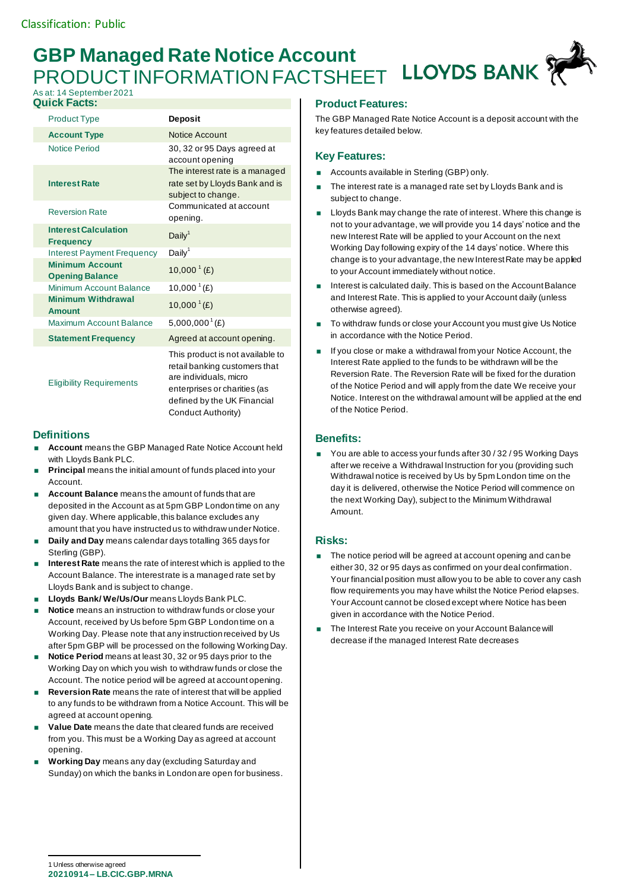# **GBP Managed Rate Notice Account LLOYDS BANK** PRODUCT INFORMATION FACTSHEET

As at: 14 September 2021 **Quick Facts:**

| <b>Product Type</b>                              | <b>Deposit</b>                                                                                                                                                                   |
|--------------------------------------------------|----------------------------------------------------------------------------------------------------------------------------------------------------------------------------------|
| <b>Account Type</b>                              | <b>Notice Account</b>                                                                                                                                                            |
| <b>Notice Period</b>                             | 30, 32 or 95 Days agreed at<br>account opening                                                                                                                                   |
| <b>Interest Rate</b>                             | The interest rate is a managed<br>rate set by Lloyds Bank and is<br>subject to change.                                                                                           |
| <b>Reversion Rate</b>                            | Communicated at account<br>opening.                                                                                                                                              |
| <b>Interest Calculation</b><br><b>Frequency</b>  | Daily <sup>1</sup>                                                                                                                                                               |
| <b>Interest Payment Frequency</b>                | Daily $1$                                                                                                                                                                        |
| <b>Minimum Account</b><br><b>Opening Balance</b> | 10,000 <sup><math>^1</math></sup> (£)                                                                                                                                            |
| Minimum Account Balance                          | 10,000 $^{1}(E)$                                                                                                                                                                 |
| <b>Minimum Withdrawal</b><br><b>Amount</b>       | 10,000 $^{1}(E)$                                                                                                                                                                 |
| Maximum Account Balance                          | $5,000,000$ <sup>1</sup> (£)                                                                                                                                                     |
| <b>Statement Frequency</b>                       | Agreed at account opening.                                                                                                                                                       |
| <b>Eligibility Requirements</b>                  | This product is not available to<br>retail banking customers that<br>are individuals, micro<br>enterprises or charities (as<br>defined by the UK Financial<br>Conduct Authority) |

#### **Definitions**

- **Account** means the GBP Managed Rate Notice Account held with Lloyds Bank PLC.
- **Principal** means the initial amount of funds placed into your Account.
- **Account Balance** means the amount of funds that are deposited in the Account as at 5pm GBP London time on any given day. Where applicable, this balance excludes any amount that you have instructed us to withdraw under Notice.
- **Daily and Day** means calendar days totalling 365 days for Sterling (GBP).
- **Interest Rate** means the rate of interest which is applied to the Account Balance. The interest rate is a managed rate set by Lloyds Bank and is subject to change.
- **Lloyds Bank/ We/Us/Our** means Lloyds Bank PLC.
- **Notice** means an instruction to withdraw funds or close your Account, received by Us before 5pm GBP London time on a Working Day. Please note that any instruction received by Us after 5pm GBP will be processed on the following Working Day.
- **Notice Period** means at least 30, 32 or 95 days prior to the Working Day on which you wish to withdraw funds or close the Account. The notice period will be agreed at account opening.
- **Reversion Rate** means the rate of interest that will be applied to any funds to be withdrawn from a Notice Account. This will be agreed at account opening.
- **Value Date** means the date that cleared funds are received from you. This must be a Working Day as agreed at account opening.
- **Working Day** means any day (excluding Saturday and Sunday) on which the banks in London are open for business.

## **Product Features:**

The GBP Managed Rate Notice Account is a deposit account with the key features detailed below.

### **Key Features:**

- Accounts available in Sterling (GBP) only.
- The interest rate is a managed rate set by Lloyds Bank and is subject to change.
- Lloyds Bank may change the rate of interest. Where this change is not to your advantage, we will provide you 14 days' notice and the new Interest Rate will be applied to your Account on the next Working Day following expiry of the 14 days' notice. Where this change is to your advantage, the new Interest Rate may be applied to your Account immediately without notice.
- $\blacksquare$  Interest is calculated daily. This is based on the Account Balance and Interest Rate. This is applied to your Account daily (unless otherwise agreed).
- To withdraw funds or close your Account you must give Us Notice in accordance with the Notice Period.
- If you close or make a withdrawal from your Notice Account, the Interest Rate applied to the funds to be withdrawn will be the Reversion Rate. The Reversion Rate will be fixed for the duration of the Notice Period and will apply from the date We receive your Notice. Interest on the withdrawal amount will be applied at the end of the Notice Period.

## **Benefits:**

 You are able to access your funds after 30 / 32 / 95 Working Days after we receive a Withdrawal Instruction for you (providing such Withdrawal notice is received by Us by 5pm London time on the day it is delivered, otherwise the Notice Period will commence on the next Working Day), subject to the Minimum Withdrawal Amount.

#### **Risks:**

- The notice period will be agreed at account opening and can be either 30, 32 or 95 days as confirmed on your deal confirmation. Your financial position must allow you to be able to cover any cash flow requirements you may have whilst the Notice Period elapses. Your Account cannot be closed except where Notice has been given in accordance with the Notice Period.
- The Interest Rate you receive on your Account Balance will decrease if the managed Interest Rate decreases